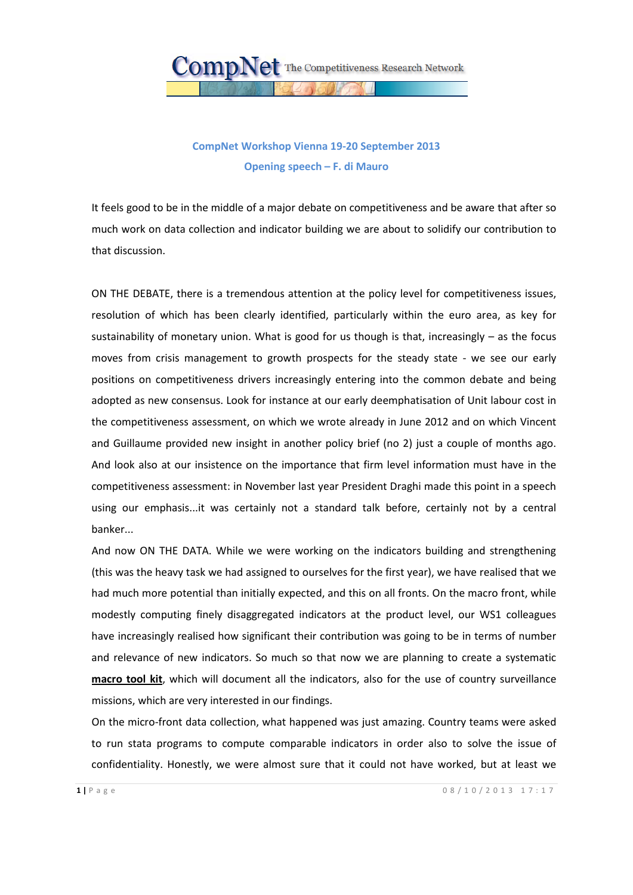

## **CompNet Workshop Vienna 19-20 September 2013 Opening speech – F. di Mauro**

It feels good to be in the middle of a major debate on competitiveness and be aware that after so much work on data collection and indicator building we are about to solidify our contribution to that discussion.

ON THE DEBATE, there is a tremendous attention at the policy level for competitiveness issues, resolution of which has been clearly identified, particularly within the euro area, as key for sustainability of monetary union. What is good for us though is that, increasingly – as the focus moves from crisis management to growth prospects for the steady state - we see our early positions on competitiveness drivers increasingly entering into the common debate and being adopted as new consensus. Look for instance at our early deemphatisation of Unit labour cost in the competitiveness assessment, on which we wrote already in June 2012 and on which Vincent and Guillaume provided new insight in another policy brief (no 2) just a couple of months ago. And look also at our insistence on the importance that firm level information must have in the competitiveness assessment: in November last year President Draghi made this point in a speech using our emphasis...it was certainly not a standard talk before, certainly not by a central banker...

And now ON THE DATA. While we were working on the indicators building and strengthening (this was the heavy task we had assigned to ourselves for the first year), we have realised that we had much more potential than initially expected, and this on all fronts. On the macro front, while modestly computing finely disaggregated indicators at the product level, our WS1 colleagues have increasingly realised how significant their contribution was going to be in terms of number and relevance of new indicators. So much so that now we are planning to create a systematic **macro tool kit**, which will document all the indicators, also for the use of country surveillance missions, which are very interested in our findings.

On the micro-front data collection, what happened was just amazing. Country teams were asked to run stata programs to compute comparable indicators in order also to solve the issue of confidentiality. Honestly, we were almost sure that it could not have worked, but at least we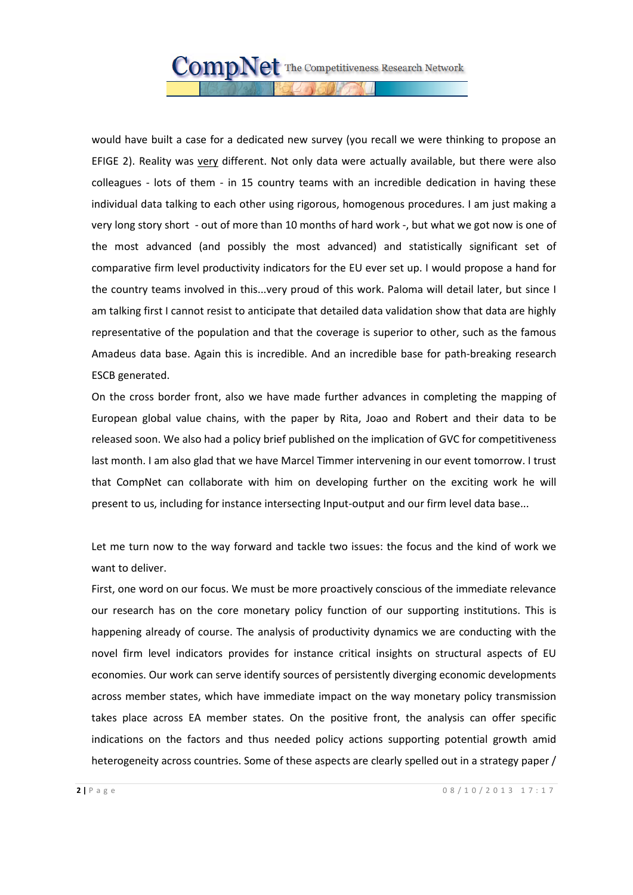would have built a case for a dedicated new survey (you recall we were thinking to propose an EFIGE 2). Reality was very different. Not only data were actually available, but there were also colleagues - lots of them - in 15 country teams with an incredible dedication in having these individual data talking to each other using rigorous, homogenous procedures. I am just making a very long story short - out of more than 10 months of hard work -, but what we got now is one of the most advanced (and possibly the most advanced) and statistically significant set of comparative firm level productivity indicators for the EU ever set up. I would propose a hand for the country teams involved in this...very proud of this work. Paloma will detail later, but since I am talking first I cannot resist to anticipate that detailed data validation show that data are highly representative of the population and that the coverage is superior to other, such as the famous Amadeus data base. Again this is incredible. And an incredible base for path-breaking research ESCB generated.

On the cross border front, also we have made further advances in completing the mapping of European global value chains, with the paper by Rita, Joao and Robert and their data to be released soon. We also had a policy brief published on the implication of GVC for competitiveness last month. I am also glad that we have Marcel Timmer intervening in our event tomorrow. I trust that CompNet can collaborate with him on developing further on the exciting work he will present to us, including for instance intersecting Input-output and our firm level data base...

Let me turn now to the way forward and tackle two issues: the focus and the kind of work we want to deliver.

First, one word on our focus. We must be more proactively conscious of the immediate relevance our research has on the core monetary policy function of our supporting institutions. This is happening already of course. The analysis of productivity dynamics we are conducting with the novel firm level indicators provides for instance critical insights on structural aspects of EU economies. Our work can serve identify sources of persistently diverging economic developments across member states, which have immediate impact on the way monetary policy transmission takes place across EA member states. On the positive front, the analysis can offer specific indications on the factors and thus needed policy actions supporting potential growth amid heterogeneity across countries. Some of these aspects are clearly spelled out in a strategy paper /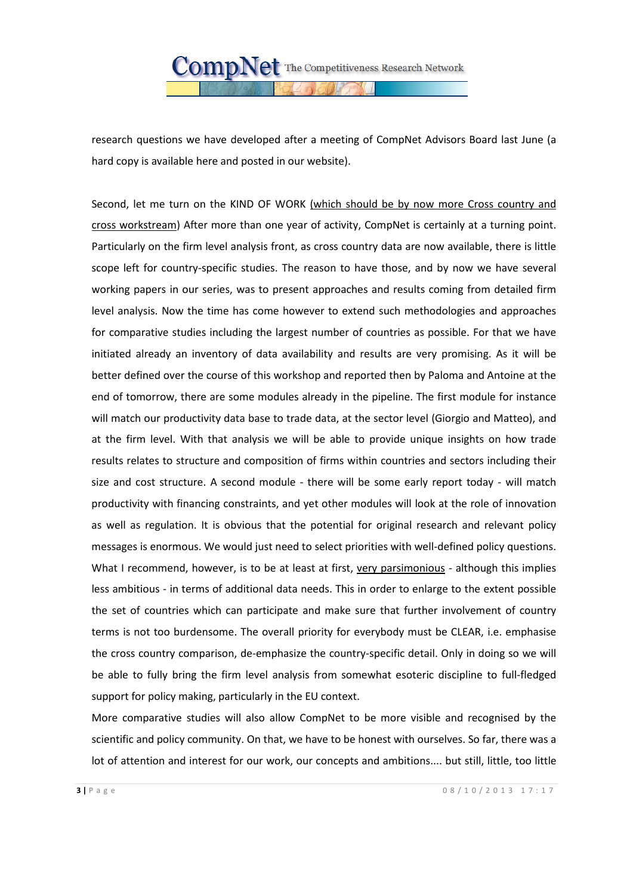

research questions we have developed after a meeting of CompNet Advisors Board last June (a hard copy is available here and posted in our website).

Second, let me turn on the KIND OF WORK (which should be by now more Cross country and cross workstream) After more than one year of activity, CompNet is certainly at a turning point. Particularly on the firm level analysis front, as cross country data are now available, there is little scope left for country-specific studies. The reason to have those, and by now we have several working papers in our series, was to present approaches and results coming from detailed firm level analysis. Now the time has come however to extend such methodologies and approaches for comparative studies including the largest number of countries as possible. For that we have initiated already an inventory of data availability and results are very promising. As it will be better defined over the course of this workshop and reported then by Paloma and Antoine at the end of tomorrow, there are some modules already in the pipeline. The first module for instance will match our productivity data base to trade data, at the sector level (Giorgio and Matteo), and at the firm level. With that analysis we will be able to provide unique insights on how trade results relates to structure and composition of firms within countries and sectors including their size and cost structure. A second module - there will be some early report today - will match productivity with financing constraints, and yet other modules will look at the role of innovation as well as regulation. It is obvious that the potential for original research and relevant policy messages is enormous. We would just need to select priorities with well-defined policy questions. What I recommend, however, is to be at least at first, very parsimonious - although this implies less ambitious - in terms of additional data needs. This in order to enlarge to the extent possible the set of countries which can participate and make sure that further involvement of country terms is not too burdensome. The overall priority for everybody must be CLEAR, i.e. emphasise the cross country comparison, de-emphasize the country-specific detail. Only in doing so we will be able to fully bring the firm level analysis from somewhat esoteric discipline to full-fledged support for policy making, particularly in the EU context.

More comparative studies will also allow CompNet to be more visible and recognised by the scientific and policy community. On that, we have to be honest with ourselves. So far, there was a lot of attention and interest for our work, our concepts and ambitions.... but still, little, too little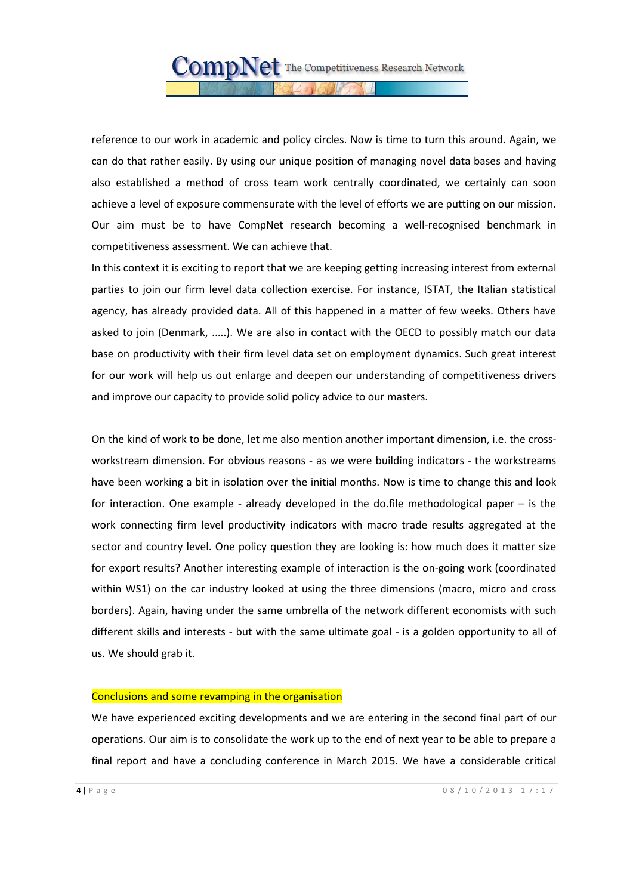reference to our work in academic and policy circles. Now is time to turn this around. Again, we can do that rather easily. By using our unique position of managing novel data bases and having also established a method of cross team work centrally coordinated, we certainly can soon achieve a level of exposure commensurate with the level of efforts we are putting on our mission. Our aim must be to have CompNet research becoming a well-recognised benchmark in competitiveness assessment. We can achieve that.

In this context it is exciting to report that we are keeping getting increasing interest from external parties to join our firm level data collection exercise. For instance, ISTAT, the Italian statistical agency, has already provided data. All of this happened in a matter of few weeks. Others have asked to join (Denmark, .....). We are also in contact with the OECD to possibly match our data base on productivity with their firm level data set on employment dynamics. Such great interest for our work will help us out enlarge and deepen our understanding of competitiveness drivers and improve our capacity to provide solid policy advice to our masters.

On the kind of work to be done, let me also mention another important dimension, i.e. the crossworkstream dimension. For obvious reasons - as we were building indicators - the workstreams have been working a bit in isolation over the initial months. Now is time to change this and look for interaction. One example - already developed in the do.file methodological paper – is the work connecting firm level productivity indicators with macro trade results aggregated at the sector and country level. One policy question they are looking is: how much does it matter size for export results? Another interesting example of interaction is the on-going work (coordinated within WS1) on the car industry looked at using the three dimensions (macro, micro and cross borders). Again, having under the same umbrella of the network different economists with such different skills and interests - but with the same ultimate goal - is a golden opportunity to all of us. We should grab it.

## Conclusions and some revamping in the organisation

We have experienced exciting developments and we are entering in the second final part of our operations. Our aim is to consolidate the work up to the end of next year to be able to prepare a final report and have a concluding conference in March 2015. We have a considerable critical